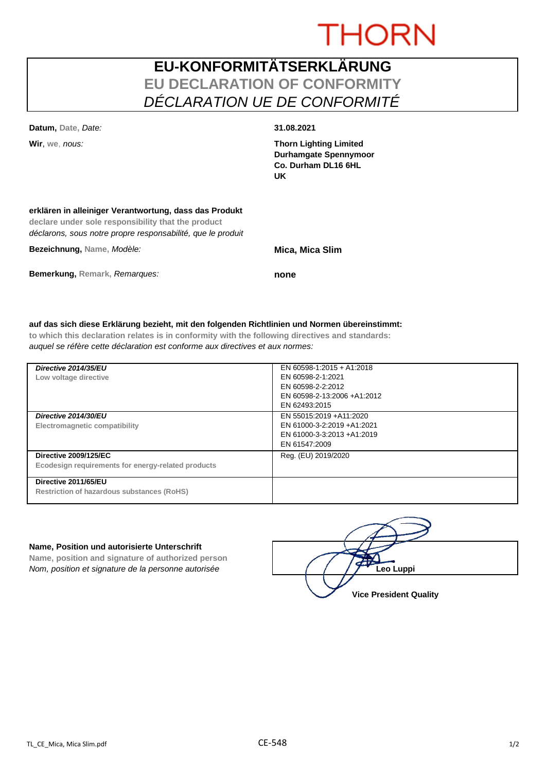# **THORN**

## **EU-KONFORMITÄTSERKLÄRUNG EU DECLARATION OF CONFORMITY** *DÉCLARATION UE DE CONFORMITÉ*

**Datum, Date,** *Date:* **31.08.2021**

**Wir**, **we**, *nous:* **Thorn Lighting Limited Durhamgate Spennymoor Co. Durham DL16 6HL UK**

| erklären in alleiniger Verantwortung, dass das Produkt<br>declare under sole responsibility that the product<br>déclarons, sous notre propre responsabilité, que le produit |                        |
|-----------------------------------------------------------------------------------------------------------------------------------------------------------------------------|------------------------|
| Bezeichnung, Name, Modèle:                                                                                                                                                  | <b>Mica, Mica Slim</b> |
| Bemerkung, Remark, Remargues:                                                                                                                                               | none                   |

#### **auf das sich diese Erklärung bezieht, mit den folgenden Richtlinien und Normen übereinstimmt:**

**to which this declaration relates is in conformity with the following directives and standards:** *auquel se réfère cette déclaration est conforme aux directives et aux normes:*

| Directive 2014/35/EU<br>Low voltage directive                                      | EN 60598-1:2015 + A1:2018<br>EN 60598-2-1:2021<br>EN 60598-2-2:2012<br>EN 60598-2-13:2006 +A1:2012<br>EN 62493:2015 |
|------------------------------------------------------------------------------------|---------------------------------------------------------------------------------------------------------------------|
| Directive 2014/30/EU<br>Electromagnetic compatibility                              | EN 55015:2019 +A11:2020<br>EN 61000-3-2:2019 +A1:2021<br>EN 61000-3-3:2013 +A1:2019<br>EN 61547:2009                |
| <b>Directive 2009/125/EC</b><br>Ecodesign requirements for energy-related products | Reg. (EU) 2019/2020                                                                                                 |
| Directive 2011/65/EU<br><b>Restriction of hazardous substances (RoHS)</b>          |                                                                                                                     |

#### **Name, Position und autorisierte Unterschrift**

**Name, position and signature of authorized person** *Nom, position et signature de la personne autorisée* 

| Leo Luppi                     |
|-------------------------------|
| <b>Vice President Quality</b> |